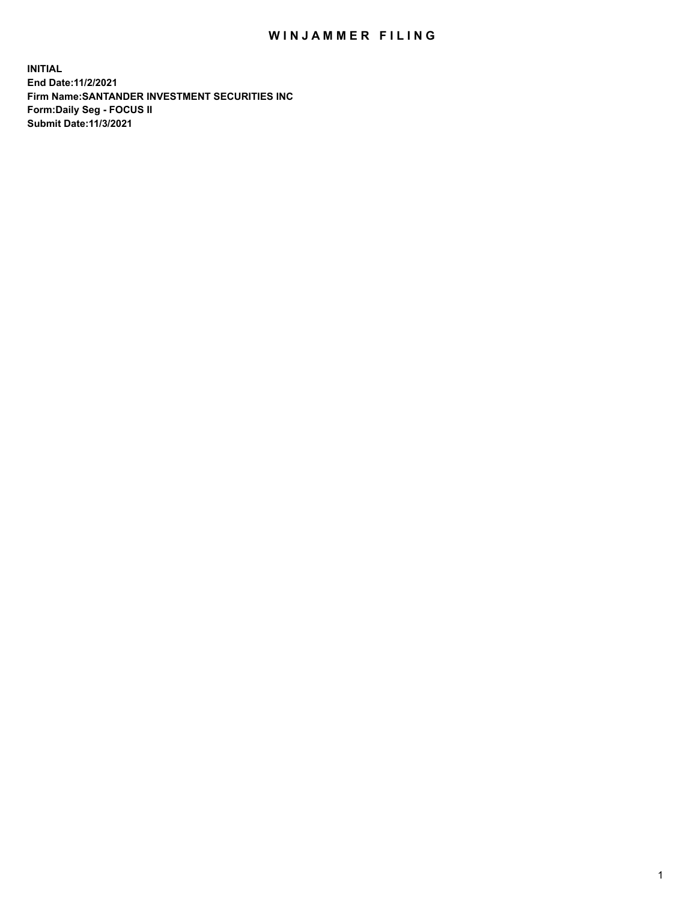## WIN JAMMER FILING

**INITIAL End Date:11/2/2021 Firm Name:SANTANDER INVESTMENT SECURITIES INC Form:Daily Seg - FOCUS II Submit Date:11/3/2021**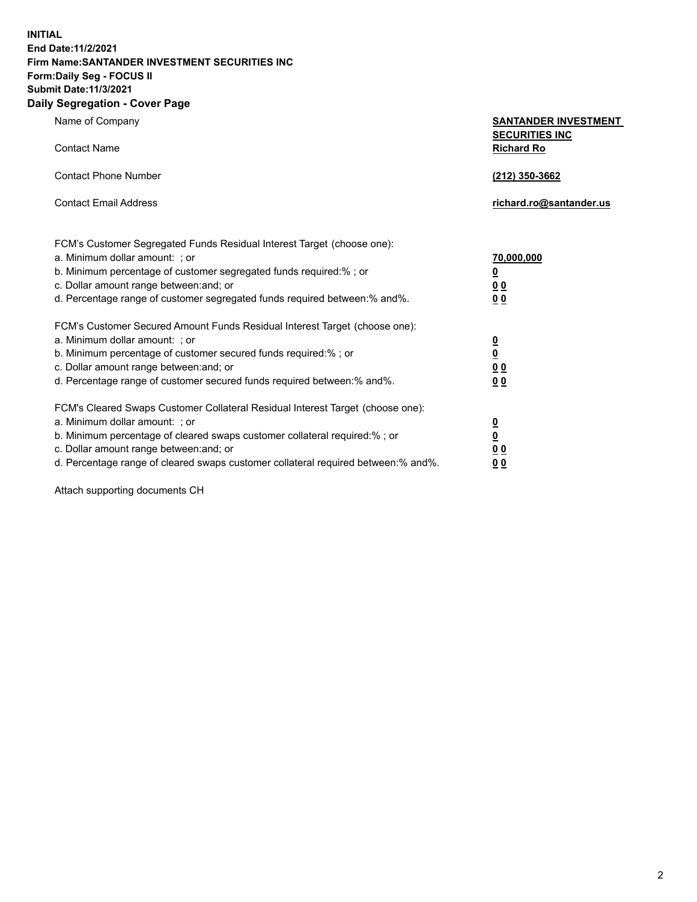**INITIAL End Date:11/2/2021 Firm Name:SANTANDER INVESTMENT SECURITIES INC Form:Daily Seg - FOCUS II Submit Date:11/3/2021 Daily Segregation - Cover Page**

| Name of Company                                                                   | <b>SANTANDER INVESTMENT</b>                |
|-----------------------------------------------------------------------------------|--------------------------------------------|
| <b>Contact Name</b>                                                               | <b>SECURITIES INC</b><br><b>Richard Ro</b> |
| <b>Contact Phone Number</b>                                                       | (212) 350-3662                             |
| <b>Contact Email Address</b>                                                      | richard.ro@santander.us                    |
| FCM's Customer Segregated Funds Residual Interest Target (choose one):            |                                            |
| a. Minimum dollar amount: ; or                                                    | 70,000,000                                 |
| b. Minimum percentage of customer segregated funds required:% ; or                | <u>0</u>                                   |
| c. Dollar amount range between: and; or                                           | 00                                         |
| d. Percentage range of customer segregated funds required between:% and%.         | 0 <sub>0</sub>                             |
| FCM's Customer Secured Amount Funds Residual Interest Target (choose one):        |                                            |
| a. Minimum dollar amount: ; or                                                    | $\frac{0}{0}$                              |
| b. Minimum percentage of customer secured funds required:%; or                    |                                            |
| c. Dollar amount range between: and; or                                           | 0 <sub>0</sub>                             |
| d. Percentage range of customer secured funds required between:% and%.            | 0 <sub>0</sub>                             |
| FCM's Cleared Swaps Customer Collateral Residual Interest Target (choose one):    |                                            |
| a. Minimum dollar amount: ; or                                                    | $\frac{0}{0}$                              |
| b. Minimum percentage of cleared swaps customer collateral required:% ; or        |                                            |
| c. Dollar amount range between: and; or                                           | 00                                         |
| d. Percentage range of cleared swaps customer collateral required between:% and%. | 00                                         |

Attach supporting documents CH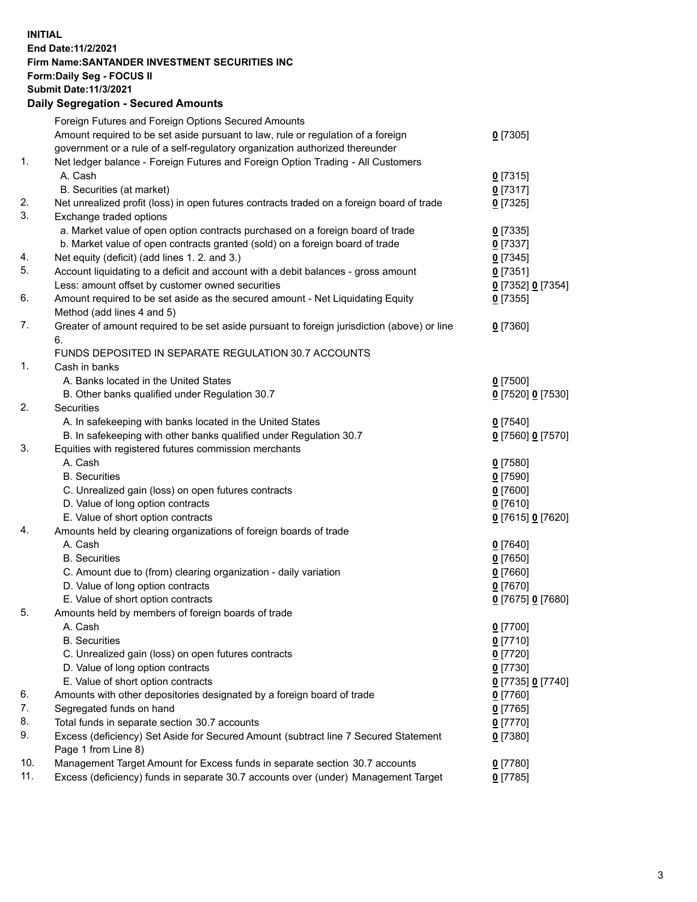## **INITIAL End Date:11/2/2021 Firm Name:SANTANDER INVESTMENT SECURITIES INC Form:Daily Seg - FOCUS II Submit Date:11/3/2021 Daily Segregation - Secured Amounts**

|     | Foreign Futures and Foreign Options Secured Amounts                                         |                   |
|-----|---------------------------------------------------------------------------------------------|-------------------|
|     | Amount required to be set aside pursuant to law, rule or regulation of a foreign            | $0$ [7305]        |
|     | government or a rule of a self-regulatory organization authorized thereunder                |                   |
| 1.  | Net ledger balance - Foreign Futures and Foreign Option Trading - All Customers             |                   |
|     | A. Cash                                                                                     | $0$ [7315]        |
|     | B. Securities (at market)                                                                   | $0$ [7317]        |
| 2.  | Net unrealized profit (loss) in open futures contracts traded on a foreign board of trade   | $0$ [7325]        |
| 3.  | Exchange traded options                                                                     |                   |
|     | a. Market value of open option contracts purchased on a foreign board of trade              | $0$ [7335]        |
|     | b. Market value of open contracts granted (sold) on a foreign board of trade                | $0$ [7337]        |
| 4.  | Net equity (deficit) (add lines 1. 2. and 3.)                                               | $0$ [7345]        |
| 5.  | Account liquidating to a deficit and account with a debit balances - gross amount           | $0$ [7351]        |
|     | Less: amount offset by customer owned securities                                            | 0 [7352] 0 [7354] |
| 6.  | Amount required to be set aside as the secured amount - Net Liquidating Equity              | $0$ [7355]        |
|     | Method (add lines 4 and 5)                                                                  |                   |
| 7.  | Greater of amount required to be set aside pursuant to foreign jurisdiction (above) or line | $0$ [7360]        |
|     | 6.                                                                                          |                   |
|     | FUNDS DEPOSITED IN SEPARATE REGULATION 30.7 ACCOUNTS                                        |                   |
| 1.  | Cash in banks                                                                               |                   |
|     | A. Banks located in the United States                                                       | $0$ [7500]        |
|     | B. Other banks qualified under Regulation 30.7                                              | 0 [7520] 0 [7530] |
| 2.  | Securities                                                                                  |                   |
|     | A. In safekeeping with banks located in the United States                                   | $0$ [7540]        |
|     | B. In safekeeping with other banks qualified under Regulation 30.7                          | 0 [7560] 0 [7570] |
| 3.  | Equities with registered futures commission merchants                                       |                   |
|     | A. Cash                                                                                     | $0$ [7580]        |
|     | <b>B.</b> Securities                                                                        | $0$ [7590]        |
|     | C. Unrealized gain (loss) on open futures contracts                                         | $0$ [7600]        |
|     | D. Value of long option contracts                                                           | $0$ [7610]        |
|     | E. Value of short option contracts                                                          | 0 [7615] 0 [7620] |
| 4.  | Amounts held by clearing organizations of foreign boards of trade                           |                   |
|     | A. Cash                                                                                     | $0$ [7640]        |
|     | <b>B.</b> Securities                                                                        | $0$ [7650]        |
|     | C. Amount due to (from) clearing organization - daily variation                             | $0$ [7660]        |
|     | D. Value of long option contracts                                                           | $0$ [7670]        |
|     | E. Value of short option contracts                                                          | 0 [7675] 0 [7680] |
| 5.  | Amounts held by members of foreign boards of trade                                          |                   |
|     | A. Cash                                                                                     | $0$ [7700]        |
|     | <b>B.</b> Securities                                                                        | $0$ [7710]        |
|     | C. Unrealized gain (loss) on open futures contracts                                         | $0$ [7720]        |
|     | D. Value of long option contracts                                                           | $0$ [7730]        |
|     | E. Value of short option contracts                                                          | 0 [7735] 0 [7740] |
| 6.  | Amounts with other depositories designated by a foreign board of trade                      | 0 [7760]          |
| 7.  | Segregated funds on hand                                                                    | $0$ [7765]        |
| 8.  | Total funds in separate section 30.7 accounts                                               | 0 [7770]          |
| 9.  | Excess (deficiency) Set Aside for Secured Amount (subtract line 7 Secured Statement         | 0 [7380]          |
|     | Page 1 from Line 8)                                                                         |                   |
| 10. | Management Target Amount for Excess funds in separate section 30.7 accounts                 | 0 [7780]          |
| 11. | Excess (deficiency) funds in separate 30.7 accounts over (under) Management Target          | $0$ [7785]        |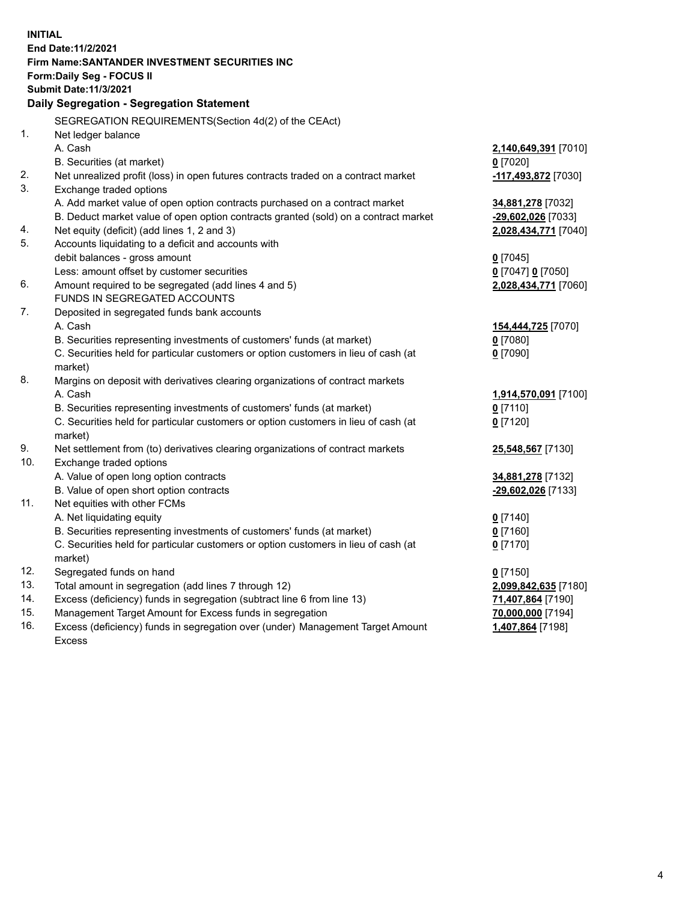| <b>INITIAL</b> |                                                                                                |                      |
|----------------|------------------------------------------------------------------------------------------------|----------------------|
|                | End Date: 11/2/2021                                                                            |                      |
|                | Firm Name: SANTANDER INVESTMENT SECURITIES INC                                                 |                      |
|                | <b>Form:Daily Seg - FOCUS II</b>                                                               |                      |
|                | <b>Submit Date: 11/3/2021</b>                                                                  |                      |
|                | Daily Segregation - Segregation Statement                                                      |                      |
|                | SEGREGATION REQUIREMENTS(Section 4d(2) of the CEAct)                                           |                      |
| 1.             | Net ledger balance                                                                             |                      |
|                | A. Cash                                                                                        | 2,140,649,391 [7010] |
|                | B. Securities (at market)                                                                      | $0$ [7020]           |
| 2.             | Net unrealized profit (loss) in open futures contracts traded on a contract market             | -117,493,872 [7030]  |
| 3.             | Exchange traded options                                                                        |                      |
|                | A. Add market value of open option contracts purchased on a contract market                    | 34,881,278 [7032]    |
|                | B. Deduct market value of open option contracts granted (sold) on a contract market            | -29,602,026 [7033]   |
| 4.             | Net equity (deficit) (add lines 1, 2 and 3)                                                    | 2,028,434,771 [7040] |
| 5.             | Accounts liquidating to a deficit and accounts with                                            |                      |
|                | debit balances - gross amount                                                                  | $0$ [7045]           |
|                | Less: amount offset by customer securities                                                     | 0 [7047] 0 [7050]    |
| 6.             | Amount required to be segregated (add lines 4 and 5)                                           | 2,028,434,771 [7060] |
|                | FUNDS IN SEGREGATED ACCOUNTS                                                                   |                      |
| 7.             | Deposited in segregated funds bank accounts                                                    |                      |
|                | A. Cash                                                                                        | 154,444,725 [7070]   |
|                | B. Securities representing investments of customers' funds (at market)                         | $0$ [7080]           |
|                | C. Securities held for particular customers or option customers in lieu of cash (at            | $0$ [7090]           |
|                | market)                                                                                        |                      |
| 8.             | Margins on deposit with derivatives clearing organizations of contract markets                 |                      |
|                | A. Cash                                                                                        | 1,914,570,091 [7100] |
|                | B. Securities representing investments of customers' funds (at market)                         | $0$ [7110]           |
|                | C. Securities held for particular customers or option customers in lieu of cash (at<br>market) | $0$ [7120]           |
| 9.             | Net settlement from (to) derivatives clearing organizations of contract markets                | 25,548,567 [7130]    |
| 10.            | Exchange traded options                                                                        |                      |
|                | A. Value of open long option contracts                                                         | 34,881,278 [7132]    |
|                | B. Value of open short option contracts                                                        | -29,602,026 [7133]   |
| 11.            | Net equities with other FCMs                                                                   |                      |
|                | A. Net liquidating equity                                                                      | $0$ [7140]           |
|                | B. Securities representing investments of customers' funds (at market)                         | $0$ [7160]           |
|                | C. Securities held for particular customers or option customers in lieu of cash (at            | $0$ [7170]           |
|                | market)                                                                                        |                      |
| 12.            | Segregated funds on hand                                                                       | $0$ [7150]           |
| 13.            | Total amount in segregation (add lines 7 through 12)                                           | 2,099,842,635 [7180] |
| 14.            | Excess (deficiency) funds in segregation (subtract line 6 from line 13)                        | 71,407,864 [7190]    |
| 15.            | Management Target Amount for Excess funds in segregation                                       | 70,000,000 [7194]    |
| 16.            | Excess (deficiency) funds in segregation over (under) Management Target Amount                 | 1,407,864 [7198]     |
|                | <b>Excess</b>                                                                                  |                      |